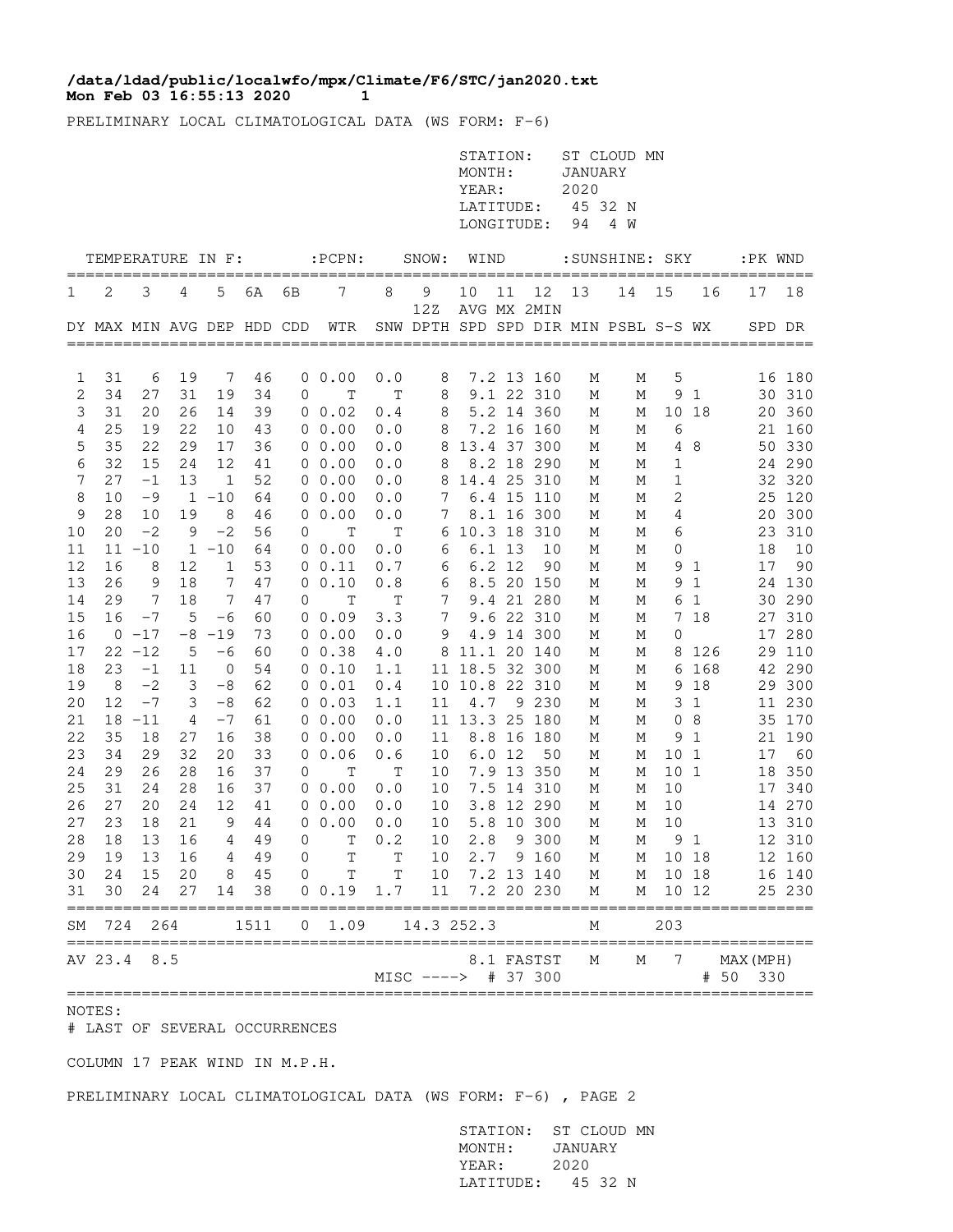## Mon Feb 03 16:55:13 2020 1 **/data/ldad/public/localwfo/mpx/Climate/F6/STC/jan2020.txt**

PRELIMINARY LOCAL CLIMATOLOGICAL DATA (WS FORM: F-6)

|          |          |           |              |                   |                            |                     |                  |                       |                                             | STATION:<br>MONTH:<br>YEAR:<br>LATITUDE:<br>LONGITUDE: |        |                  | <b>JANUARY</b><br>2020<br>45 32 N<br>94 | ST CLOUD MN<br>4 W |                 |                   |                       |                  |
|----------|----------|-----------|--------------|-------------------|----------------------------|---------------------|------------------|-----------------------|---------------------------------------------|--------------------------------------------------------|--------|------------------|-----------------------------------------|--------------------|-----------------|-------------------|-----------------------|------------------|
|          |          |           |              | TEMPERATURE IN F: |                            |                     | $:$ PCPN $:$     |                       | SNOW:                                       | WIND                                                   |        |                  |                                         | :SUNSHINE: SKY     |                 |                   |                       | :PK WND<br>===== |
| 1        | 2        | 3         | 4            | 5                 | 6A                         | 6В                  | 7                | 8                     | 9                                           | 10                                                     | 11     | 12               | 13                                      | 14                 | 15              | 16                | 17                    | 18               |
|          |          |           |              |                   | DY MAX MIN AVG DEP HDD CDD |                     | WTR              |                       | 12Z<br>SNW DPTH SPD SPD DIR MIN PSBL S-S WX |                                                        |        | AVG MX 2MIN      |                                         |                    |                 |                   |                       | SPD DR           |
| 1        | 31       | 6         | 19           | 7                 | 46                         |                     | $0\;\;0.00$      | 0.0                   | 8                                           |                                                        |        | 7.2 13 160       | М                                       | Μ                  | 5               |                   |                       | 16 180           |
| 2        | 34       | 27        | 31           | 19                | 34                         | 0                   | T                | T                     | 8                                           |                                                        |        | 9.1 22 310       | М                                       | М                  | 9               | 1                 |                       | 30 310           |
| 3        | 31       | 20        | 26           | 14                | 39                         |                     | 0 0.02           | 0.4                   | 8                                           |                                                        |        | 5.2 14 360       | М                                       | М                  |                 | 10 18             | 20                    | 360              |
| 4        | 25       | 19        | 22           | 10                | 43                         |                     | $0\;\;0.00$      | 0.0                   | 8                                           |                                                        |        | 7.2 16 160       | М                                       | М                  | 6               |                   |                       | 21 160           |
| 5        | 35       | 22        | 29           | 17                | 36                         |                     | 00.00            | 0.0                   | 8                                           | 13.4 37 300                                            |        |                  | М                                       | М                  | 4               | 8                 |                       | 50 330           |
| 6        | 32       | 15        | 24           | 12                | 41                         |                     | 00.00            | 0.0                   | 8                                           |                                                        |        | 8.2 18 290       | М                                       | М                  | 1               |                   |                       | 24 290           |
| 7        | 27       | $-1$      | 13           | 1                 | 52                         |                     | $0\;\;0.00$      | 0.0                   | 8                                           |                                                        |        | 14.4 25 310      | М                                       | Μ                  | 1               |                   |                       | 32 320           |
| 8        | 10       | -9        | $\mathbf{1}$ | $-10$             | 64                         |                     | $0\;\;0.00$      | 0.0                   | 7                                           |                                                        |        | 6.4 15 110       | М                                       | М                  | 2               |                   | 25                    | 120              |
| 9        | 28       | 10        | 19           | 8                 | 46                         | 0                   | 0.00             | 0.0                   | 7                                           |                                                        |        | 8.1 16 300       | М                                       | М                  | 4               |                   | 20                    | 300              |
| 10       | 20       | $-2$      | 9            | $-2$              | 56                         | 0                   | Т                | Т                     | 6                                           |                                                        |        | 10.3 18 310      | М                                       | М                  | 6               |                   | 23                    | 310              |
| 11       |          | $11 - 10$ |              | $1 - 10$          | 64                         |                     | $0\;\;0.00$      | 0.0                   | 6                                           |                                                        | 6.1 13 | 10               | Μ                                       | М                  | $\mathbf{0}$    |                   | 18                    | 10               |
| 12<br>13 | 16<br>26 | 8<br>9    | 12<br>18     | 1<br>7            | 53<br>47                   |                     | 0 0.11<br>0 0.10 | 0.7<br>0.8            | 6<br>6                                      |                                                        | 6.2 12 | 90<br>8.5 20 150 | М                                       | М<br>М             | 9<br>9          | 1<br>$\mathbf{1}$ | 17                    | 90<br>24 130     |
| 14       | 29       | 7         | 18           | 7                 | 47                         | 0                   | $\mathbb T$      | Τ                     | 7                                           |                                                        |        | 9.4 21 280       | М<br>М                                  | М                  | 6               | $\mathbf{1}$      |                       | 30 290           |
| 15       | 16       | $-7$      | 5            | $-6$              | 60                         |                     | $0\;\;0.09$      | 3.3                   | 7                                           |                                                        |        | 9.6 22 310       | М                                       | М                  | 7               | 18                |                       | 27 310           |
| 16       |          | $0 - 17$  | -8           | $-19$             | 73                         |                     | $0\;\;0.00$      | 0.0                   | 9                                           |                                                        |        | 4.9 14 300       | М                                       | М                  | 0               |                   | 17                    | 280              |
| 17       |          | $22 - 12$ | 5            | -6                | 60                         |                     | $0 \t 0.38$      | 4.0                   |                                             | 8 11.1 20 140                                          |        |                  | М                                       | М                  |                 | 8 1 2 6           |                       | 29 110           |
| 18       | 23       | $-1$      | 11           | 0                 | 54                         |                     | 0 0.10           | 1.1                   |                                             | 11 18.5 32 300                                         |        |                  | М                                       | М                  |                 | 6 168             |                       | 42 290           |
| 19       | 8        | $-2$      | 3            | -8                | 62                         |                     | 0 0.01           | 0.4                   |                                             | 10 10.8 22 310                                         |        |                  | М                                       | М                  |                 | 9 18              |                       | 29 300           |
| 20       | 12       | $-7$      | 3            | -8                | 62                         |                     | $0\;\;0.03$      | 1.1                   | 11                                          | 4.7                                                    |        | 9 2 3 0          | М                                       | М                  | 3               | 1                 |                       | 11 230           |
| 21       |          | $18 - 11$ | 4            | $-7$              | 61                         |                     | $0\;\;0.00$      | 0.0                   |                                             | 11 13.3 25 180                                         |        |                  | М                                       | М                  | 0               | 8                 |                       | 35 170           |
| 22       | 35       | 18        | 27           | 16                | 38                         |                     | 00.00            | 0.0                   | 11                                          |                                                        |        | 8.8 16 180       | М                                       | М                  | 9               | 1                 |                       | 21 190           |
| 23       | 34       | 29        | 32           | 20                | 33                         |                     | 0, 0.06          | 0.6                   | 10                                          |                                                        | 6.012  | 50               | М                                       | М                  | 10              | $\mathbf{1}$      | 17                    | 60               |
| 24       | 29       | 26        | 28           | 16                | 37                         | 0                   | $\mathbb T$      | T                     | 10                                          |                                                        |        | 7.9 13 350       | М                                       | М                  | 10 <sub>1</sub> |                   | 18                    | 350              |
| 25       | 31       | 24        | 28           | 16                | 37                         |                     | 0 0.00           | ${\bf 0}$ . ${\bf 0}$ | 10                                          |                                                        |        | 7.5 14 310       | М                                       | М                  | 10              |                   |                       | 17 340           |
| 26       | 27       | 20        | 24           | 12                | 41                         |                     | $0\;\;0.00$      | 0.0                   | 10                                          |                                                        |        | 3.8 12 290       | М                                       | М                  | 10              |                   |                       | 14 270           |
| 27       | 23       | 18        | 21           | 9                 | 44                         | 0                   | 0.00             | 0.0                   | 10                                          | 5.8                                                    |        | 10 300           | М                                       | М                  | 10              |                   |                       | 13 310           |
| 28       | 18       | 13        | 16           | 4                 | 49                         | 0                   | T                | 0.2                   | 10                                          | 2.8                                                    |        | 9 300            | М                                       | М                  |                 | 9 1               |                       | 12 310           |
| 29       | 19       | 13        | 16           | 4                 | 49                         | $\mathsf{O}\xspace$ | T                | Т                     | 10                                          |                                                        |        | 2.7 9 160        | М                                       | М                  | 10 18           |                   |                       | 12 160           |
| 30       | 24       | 15        | 20           | 8                 | 45                         | $\mathbf 0$         | T                | $\mathbb T$           | 10                                          |                                                        |        | 7.2 13 140       | М                                       | М                  |                 | 10 18             |                       | 16 140           |
| 31       | 30       | 24        | 27           | 14                | 38                         |                     | 0 0.19           | $1.7$                 | 11                                          |                                                        |        | 7.2 20 230       | М                                       | М                  | 10 12           |                   |                       | 25 230           |
| SΜ       | 724      | 264       |              |                   | 1511                       | 0                   | 1.09             |                       | 14.3 252.3                                  |                                                        |        |                  | М                                       |                    | 203             |                   |                       |                  |
|          | AV 23.4  | 8.5       |              |                   |                            |                     |                  |                       | MISC ----> # 37 300                         |                                                        |        | 8.1 FASTST       | М                                       | М                  | 7               |                   | MAX (MPH)<br># 50 330 |                  |

NOTES:

# LAST OF SEVERAL OCCURRENCES

COLUMN 17 PEAK WIND IN M.P.H.

## PRELIMINARY LOCAL CLIMATOLOGICAL DATA (WS FORM: F-6) , PAGE 2

 STATION: ST CLOUD MN MONTH: JANUARY YEAR: 2020 LATITUDE: 45 32 N